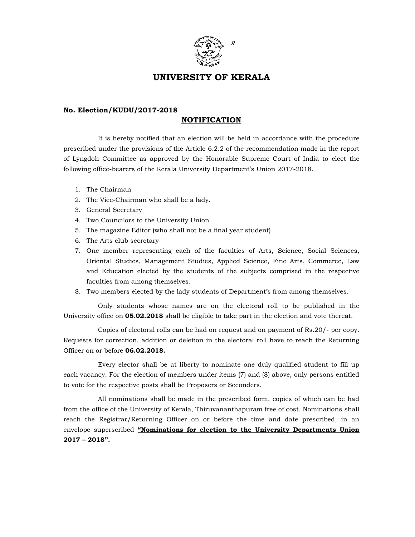

## UNIVERSITY OF KERALA

## No. Election/KUDU/2017-2018

## NOTIFICATION

 It is hereby notified that an election will be held in accordance with the procedure prescribed under the provisions of the Article 6.2.2 of the recommendation made in the report of Lyngdoh Committee as approved by the Honorable Supreme Court of India to elect the following office-bearers of the Kerala University Department's Union 2017-2018.

- 1. The Chairman
- 2. The Vice-Chairman who shall be a lady.
- 3. General Secretary
- 4. Two Councilors to the University Union
- 5. The magazine Editor (who shall not be a final year student)
- 6. The Arts club secretary
- 7. One member representing each of the faculties of Arts, Science, Social Sciences, Oriental Studies, Management Studies, Applied Science, Fine Arts, Commerce, Law and Education elected by the students of the subjects comprised in the respective faculties from among themselves.
- 8. Two members elected by the lady students of Department's from among themselves.

 Only students whose names are on the electoral roll to be published in the University office on **05.02.2018** shall be eligible to take part in the election and vote thereat.

 Copies of electoral rolls can be had on request and on payment of Rs.20/- per copy. Requests for correction, addition or deletion in the electoral roll have to reach the Returning Officer on or before 06.02.2018.

 Every elector shall be at liberty to nominate one duly qualified student to fill up each vacancy. For the election of members under items (7) and (8) above, only persons entitled to vote for the respective posts shall be Proposers or Seconders.

 All nominations shall be made in the prescribed form, copies of which can be had from the office of the University of Kerala, Thiruvananthapuram free of cost. Nominations shall reach the Registrar/Returning Officer on or before the time and date prescribed, in an envelope superscribed "Nominations for election to the University Departments Union 2017 – 2018".